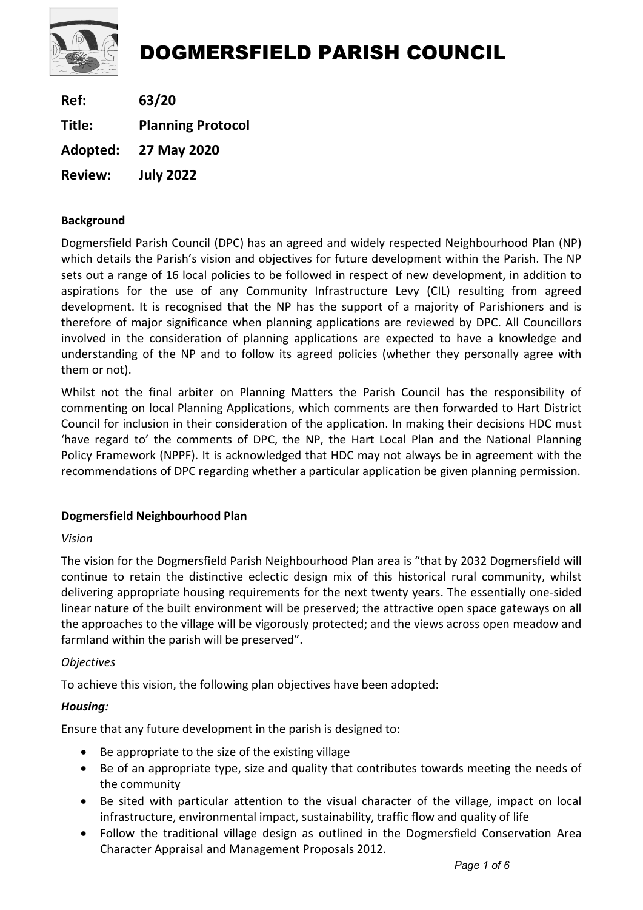

Ref: 63/20 Title: Planning Protocol Adopted: 27 May 2020 Review: July 2022

## Background

Dogmersfield Parish Council (DPC) has an agreed and widely respected Neighbourhood Plan (NP) which details the Parish's vision and objectives for future development within the Parish. The NP sets out a range of 16 local policies to be followed in respect of new development, in addition to aspirations for the use of any Community Infrastructure Levy (CIL) resulting from agreed development. It is recognised that the NP has the support of a majority of Parishioners and is therefore of major significance when planning applications are reviewed by DPC. All Councillors involved in the consideration of planning applications are expected to have a knowledge and understanding of the NP and to follow its agreed policies (whether they personally agree with them or not).

Whilst not the final arbiter on Planning Matters the Parish Council has the responsibility of commenting on local Planning Applications, which comments are then forwarded to Hart District Council for inclusion in their consideration of the application. In making their decisions HDC must 'have regard to' the comments of DPC, the NP, the Hart Local Plan and the National Planning Policy Framework (NPPF). It is acknowledged that HDC may not always be in agreement with the recommendations of DPC regarding whether a particular application be given planning permission.

## Dogmersfield Neighbourhood Plan

## Vision

The vision for the Dogmersfield Parish Neighbourhood Plan area is "that by 2032 Dogmersfield will continue to retain the distinctive eclectic design mix of this historical rural community, whilst delivering appropriate housing requirements for the next twenty years. The essentially one-sided linear nature of the built environment will be preserved; the attractive open space gateways on all the approaches to the village will be vigorously protected; and the views across open meadow and farmland within the parish will be preserved".

## **Objectives**

To achieve this vision, the following plan objectives have been adopted:

## Housing:

Ensure that any future development in the parish is designed to:

- Be appropriate to the size of the existing village
- Be of an appropriate type, size and quality that contributes towards meeting the needs of the community
- Be sited with particular attention to the visual character of the village, impact on local infrastructure, environmental impact, sustainability, traffic flow and quality of life
- Follow the traditional village design as outlined in the Dogmersfield Conservation Area Character Appraisal and Management Proposals 2012.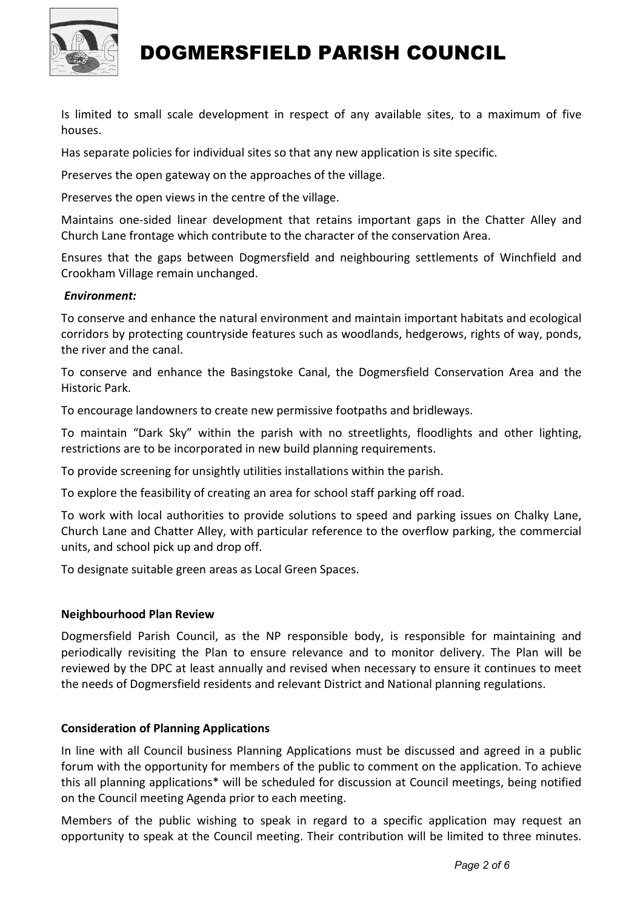

Is limited to small scale development in respect of any available sites, to a maximum of five houses.

Has separate policies for individual sites so that any new application is site specific.

Preserves the open gateway on the approaches of the village.

Preserves the open views in the centre of the village.

Maintains one-sided linear development that retains important gaps in the Chatter Alley and Church Lane frontage which contribute to the character of the conservation Area.

Ensures that the gaps between Dogmersfield and neighbouring settlements of Winchfield and Crookham Village remain unchanged.

#### Environment:

To conserve and enhance the natural environment and maintain important habitats and ecological corridors by protecting countryside features such as woodlands, hedgerows, rights of way, ponds, the river and the canal.

To conserve and enhance the Basingstoke Canal, the Dogmersfield Conservation Area and the Historic Park.

To encourage landowners to create new permissive footpaths and bridleways.

To maintain "Dark Sky" within the parish with no streetlights, floodlights and other lighting, restrictions are to be incorporated in new build planning requirements.

To provide screening for unsightly utilities installations within the parish.

To explore the feasibility of creating an area for school staff parking off road.

To work with local authorities to provide solutions to speed and parking issues on Chalky Lane, Church Lane and Chatter Alley, with particular reference to the overflow parking, the commercial units, and school pick up and drop off.

To designate suitable green areas as Local Green Spaces.

#### Neighbourhood Plan Review

Dogmersfield Parish Council, as the NP responsible body, is responsible for maintaining and periodically revisiting the Plan to ensure relevance and to monitor delivery. The Plan will be reviewed by the DPC at least annually and revised when necessary to ensure it continues to meet the needs of Dogmersfield residents and relevant District and National planning regulations.

#### Consideration of Planning Applications

In line with all Council business Planning Applications must be discussed and agreed in a public forum with the opportunity for members of the public to comment on the application. To achieve this all planning applications\* will be scheduled for discussion at Council meetings, being notified on the Council meeting Agenda prior to each meeting.

Members of the public wishing to speak in regard to a specific application may request an opportunity to speak at the Council meeting. Their contribution will be limited to three minutes.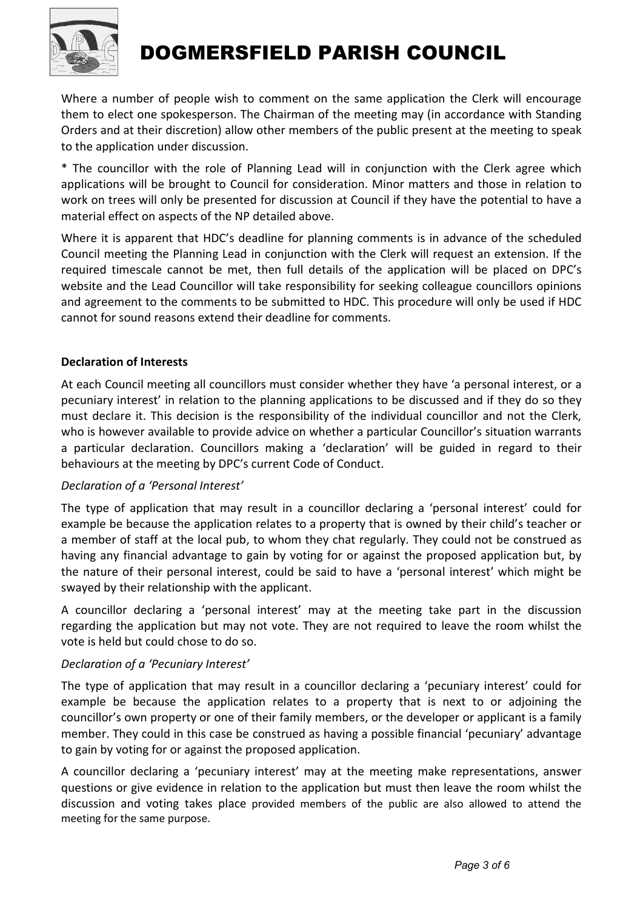

Where a number of people wish to comment on the same application the Clerk will encourage them to elect one spokesperson. The Chairman of the meeting may (in accordance with Standing Orders and at their discretion) allow other members of the public present at the meeting to speak to the application under discussion.

\* The councillor with the role of Planning Lead will in conjunction with the Clerk agree which applications will be brought to Council for consideration. Minor matters and those in relation to work on trees will only be presented for discussion at Council if they have the potential to have a material effect on aspects of the NP detailed above.

Where it is apparent that HDC's deadline for planning comments is in advance of the scheduled Council meeting the Planning Lead in conjunction with the Clerk will request an extension. If the required timescale cannot be met, then full details of the application will be placed on DPC's website and the Lead Councillor will take responsibility for seeking colleague councillors opinions and agreement to the comments to be submitted to HDC. This procedure will only be used if HDC cannot for sound reasons extend their deadline for comments.

## Declaration of Interests

At each Council meeting all councillors must consider whether they have 'a personal interest, or a pecuniary interest' in relation to the planning applications to be discussed and if they do so they must declare it. This decision is the responsibility of the individual councillor and not the Clerk, who is however available to provide advice on whether a particular Councillor's situation warrants a particular declaration. Councillors making a 'declaration' will be guided in regard to their behaviours at the meeting by DPC's current Code of Conduct.

## Declaration of a 'Personal Interest'

The type of application that may result in a councillor declaring a 'personal interest' could for example be because the application relates to a property that is owned by their child's teacher or a member of staff at the local pub, to whom they chat regularly. They could not be construed as having any financial advantage to gain by voting for or against the proposed application but, by the nature of their personal interest, could be said to have a 'personal interest' which might be swayed by their relationship with the applicant.

A councillor declaring a 'personal interest' may at the meeting take part in the discussion regarding the application but may not vote. They are not required to leave the room whilst the vote is held but could chose to do so.

## Declaration of a 'Pecuniary Interest'

The type of application that may result in a councillor declaring a 'pecuniary interest' could for example be because the application relates to a property that is next to or adjoining the councillor's own property or one of their family members, or the developer or applicant is a family member. They could in this case be construed as having a possible financial 'pecuniary' advantage to gain by voting for or against the proposed application.

A councillor declaring a 'pecuniary interest' may at the meeting make representations, answer questions or give evidence in relation to the application but must then leave the room whilst the discussion and voting takes place provided members of the public are also allowed to attend the meeting for the same purpose.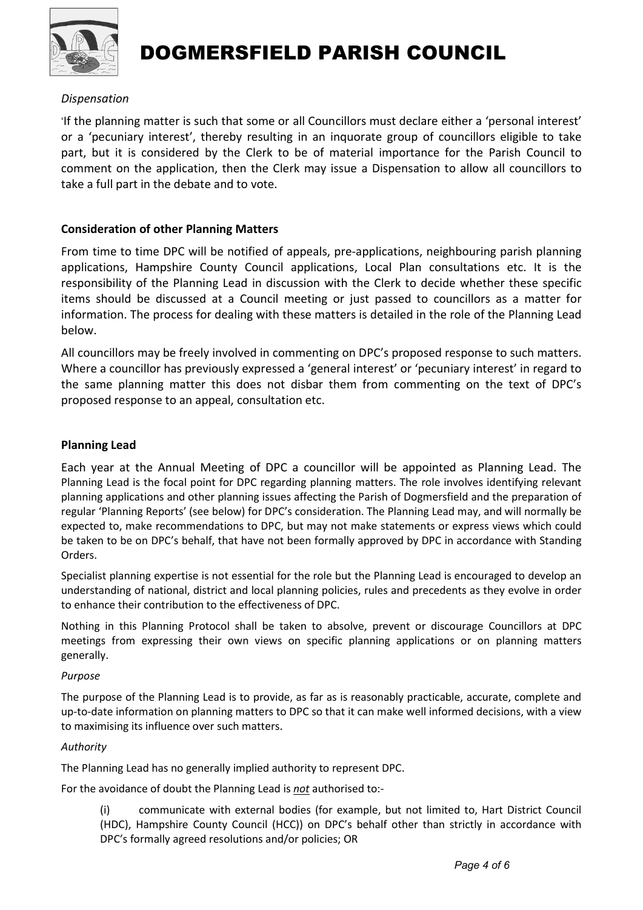

### Dispensation

'If the planning matter is such that some or all Councillors must declare either a 'personal interest' or a 'pecuniary interest', thereby resulting in an inquorate group of councillors eligible to take part, but it is considered by the Clerk to be of material importance for the Parish Council to comment on the application, then the Clerk may issue a Dispensation to allow all councillors to take a full part in the debate and to vote.

#### Consideration of other Planning Matters

From time to time DPC will be notified of appeals, pre-applications, neighbouring parish planning applications, Hampshire County Council applications, Local Plan consultations etc. It is the responsibility of the Planning Lead in discussion with the Clerk to decide whether these specific items should be discussed at a Council meeting or just passed to councillors as a matter for information. The process for dealing with these matters is detailed in the role of the Planning Lead below.

All councillors may be freely involved in commenting on DPC's proposed response to such matters. Where a councillor has previously expressed a 'general interest' or 'pecuniary interest' in regard to the same planning matter this does not disbar them from commenting on the text of DPC's proposed response to an appeal, consultation etc.

#### Planning Lead

Each year at the Annual Meeting of DPC a councillor will be appointed as Planning Lead. The Planning Lead is the focal point for DPC regarding planning matters. The role involves identifying relevant planning applications and other planning issues affecting the Parish of Dogmersfield and the preparation of regular 'Planning Reports' (see below) for DPC's consideration. The Planning Lead may, and will normally be expected to, make recommendations to DPC, but may not make statements or express views which could be taken to be on DPC's behalf, that have not been formally approved by DPC in accordance with Standing Orders.

Specialist planning expertise is not essential for the role but the Planning Lead is encouraged to develop an understanding of national, district and local planning policies, rules and precedents as they evolve in order to enhance their contribution to the effectiveness of DPC.

Nothing in this Planning Protocol shall be taken to absolve, prevent or discourage Councillors at DPC meetings from expressing their own views on specific planning applications or on planning matters generally.

#### Purpose

The purpose of the Planning Lead is to provide, as far as is reasonably practicable, accurate, complete and up-to-date information on planning matters to DPC so that it can make well informed decisions, with a view to maximising its influence over such matters.

#### Authority

The Planning Lead has no generally implied authority to represent DPC.

For the avoidance of doubt the Planning Lead is not authorised to:-

(i) communicate with external bodies (for example, but not limited to, Hart District Council (HDC), Hampshire County Council (HCC)) on DPC's behalf other than strictly in accordance with DPC's formally agreed resolutions and/or policies; OR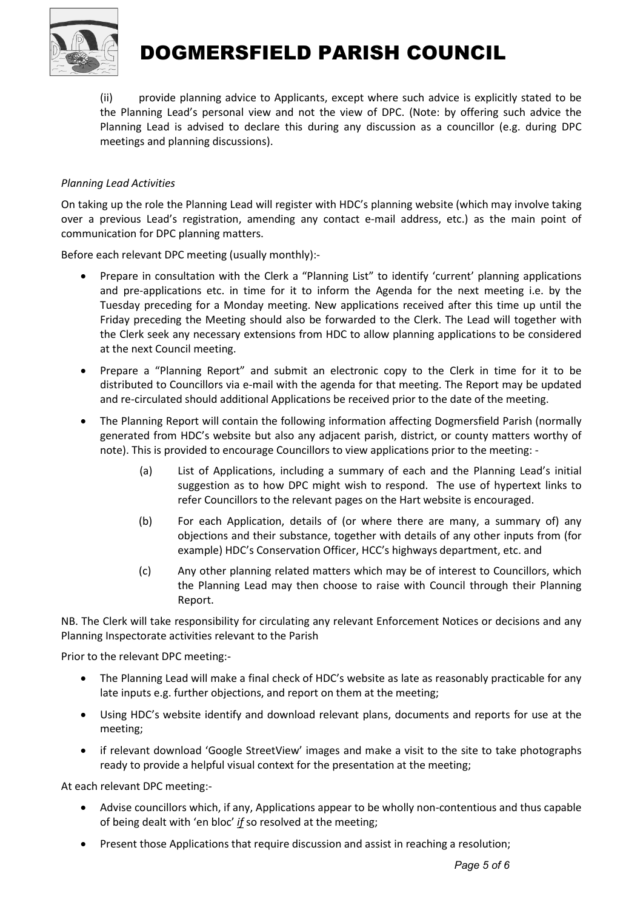

(ii) provide planning advice to Applicants, except where such advice is explicitly stated to be the Planning Lead's personal view and not the view of DPC. (Note: by offering such advice the Planning Lead is advised to declare this during any discussion as a councillor (e.g. during DPC meetings and planning discussions).

#### Planning Lead Activities

On taking up the role the Planning Lead will register with HDC's planning website (which may involve taking over a previous Lead's registration, amending any contact e-mail address, etc.) as the main point of communication for DPC planning matters.

Before each relevant DPC meeting (usually monthly):-

- Prepare in consultation with the Clerk a "Planning List" to identify 'current' planning applications and pre-applications etc. in time for it to inform the Agenda for the next meeting i.e. by the Tuesday preceding for a Monday meeting. New applications received after this time up until the Friday preceding the Meeting should also be forwarded to the Clerk. The Lead will together with the Clerk seek any necessary extensions from HDC to allow planning applications to be considered at the next Council meeting.
- Prepare a "Planning Report" and submit an electronic copy to the Clerk in time for it to be distributed to Councillors via e-mail with the agenda for that meeting. The Report may be updated and re-circulated should additional Applications be received prior to the date of the meeting.
- The Planning Report will contain the following information affecting Dogmersfield Parish (normally generated from HDC's website but also any adjacent parish, district, or county matters worthy of note). This is provided to encourage Councillors to view applications prior to the meeting: -
	- (a) List of Applications, including a summary of each and the Planning Lead's initial suggestion as to how DPC might wish to respond. The use of hypertext links to refer Councillors to the relevant pages on the Hart website is encouraged.
	- (b) For each Application, details of (or where there are many, a summary of) any objections and their substance, together with details of any other inputs from (for example) HDC's Conservation Officer, HCC's highways department, etc. and
	- (c) Any other planning related matters which may be of interest to Councillors, which the Planning Lead may then choose to raise with Council through their Planning Report.

NB. The Clerk will take responsibility for circulating any relevant Enforcement Notices or decisions and any Planning Inspectorate activities relevant to the Parish

Prior to the relevant DPC meeting:-

- The Planning Lead will make a final check of HDC's website as late as reasonably practicable for any late inputs e.g. further objections, and report on them at the meeting;
- Using HDC's website identify and download relevant plans, documents and reports for use at the meeting;
- if relevant download 'Google StreetView' images and make a visit to the site to take photographs ready to provide a helpful visual context for the presentation at the meeting;

At each relevant DPC meeting:-

- Advise councillors which, if any, Applications appear to be wholly non-contentious and thus capable of being dealt with 'en bloc' if so resolved at the meeting;
- Present those Applications that require discussion and assist in reaching a resolution;